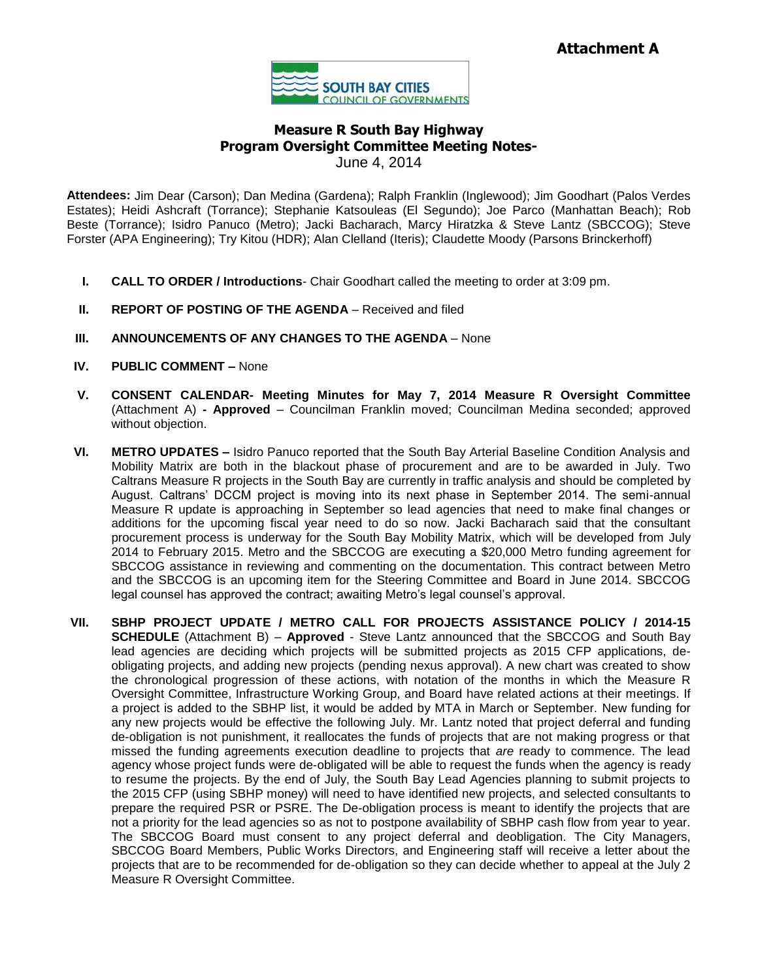

## **Measure R South Bay Highway Program Oversight Committee Meeting Notes-**June 4, 2014

**Attendees:** Jim Dear (Carson); Dan Medina (Gardena); Ralph Franklin (Inglewood); Jim Goodhart (Palos Verdes Estates); Heidi Ashcraft (Torrance); Stephanie Katsouleas (El Segundo); Joe Parco (Manhattan Beach); Rob Beste (Torrance); Isidro Panuco (Metro); Jacki Bacharach, Marcy Hiratzka & Steve Lantz (SBCCOG); Steve Forster (APA Engineering); Try Kitou (HDR); Alan Clelland (Iteris); Claudette Moody (Parsons Brinckerhoff)

- **I. CALL TO ORDER / Introductions** Chair Goodhart called the meeting to order at 3:09 pm.
- **II. REPORT OF POSTING OF THE AGENDA** Received and filed
- **III. ANNOUNCEMENTS OF ANY CHANGES TO THE AGENDA** None
- **IV. PUBLIC COMMENT –** None
- **V. CONSENT CALENDAR- Meeting Minutes for May 7, 2014 Measure R Oversight Committee**  (Attachment A) **- Approved** – Councilman Franklin moved; Councilman Medina seconded; approved without objection.
- **VI. METRO UPDATES –** Isidro Panuco reported that the South Bay Arterial Baseline Condition Analysis and Mobility Matrix are both in the blackout phase of procurement and are to be awarded in July. Two Caltrans Measure R projects in the South Bay are currently in traffic analysis and should be completed by August. Caltrans' DCCM project is moving into its next phase in September 2014. The semi-annual Measure R update is approaching in September so lead agencies that need to make final changes or additions for the upcoming fiscal year need to do so now. Jacki Bacharach said that the consultant procurement process is underway for the South Bay Mobility Matrix, which will be developed from July 2014 to February 2015. Metro and the SBCCOG are executing a \$20,000 Metro funding agreement for SBCCOG assistance in reviewing and commenting on the documentation. This contract between Metro and the SBCCOG is an upcoming item for the Steering Committee and Board in June 2014. SBCCOG legal counsel has approved the contract; awaiting Metro's legal counsel's approval.
- **VII. SBHP PROJECT UPDATE / METRO CALL FOR PROJECTS ASSISTANCE POLICY / 2014-15 SCHEDULE** (Attachment B) – **Approved** - Steve Lantz announced that the SBCCOG and South Bay lead agencies are deciding which projects will be submitted projects as 2015 CFP applications, deobligating projects, and adding new projects (pending nexus approval). A new chart was created to show the chronological progression of these actions, with notation of the months in which the Measure R Oversight Committee, Infrastructure Working Group, and Board have related actions at their meetings. If a project is added to the SBHP list, it would be added by MTA in March or September. New funding for any new projects would be effective the following July. Mr. Lantz noted that project deferral and funding de-obligation is not punishment, it reallocates the funds of projects that are not making progress or that missed the funding agreements execution deadline to projects that *are* ready to commence. The lead agency whose project funds were de-obligated will be able to request the funds when the agency is ready to resume the projects. By the end of July, the South Bay Lead Agencies planning to submit projects to the 2015 CFP (using SBHP money) will need to have identified new projects, and selected consultants to prepare the required PSR or PSRE. The De-obligation process is meant to identify the projects that are not a priority for the lead agencies so as not to postpone availability of SBHP cash flow from year to year. The SBCCOG Board must consent to any project deferral and deobligation. The City Managers, SBCCOG Board Members, Public Works Directors, and Engineering staff will receive a letter about the projects that are to be recommended for de-obligation so they can decide whether to appeal at the July 2 Measure R Oversight Committee.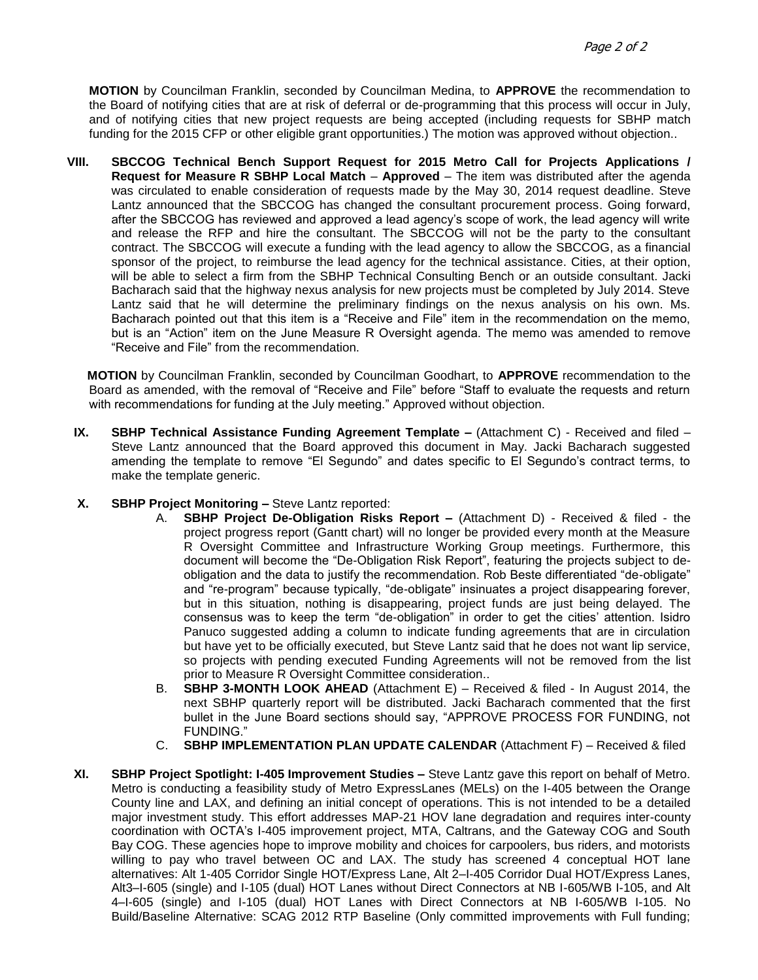**MOTION** by Councilman Franklin, seconded by Councilman Medina, to **APPROVE** the recommendation to the Board of notifying cities that are at risk of deferral or de-programming that this process will occur in July, and of notifying cities that new project requests are being accepted (including requests for SBHP match funding for the 2015 CFP or other eligible grant opportunities.) The motion was approved without objection..

**VIII. SBCCOG Technical Bench Support Request for 2015 Metro Call for Projects Applications / Request for Measure R SBHP Local Match** – **Approved** – The item was distributed after the agenda was circulated to enable consideration of requests made by the May 30, 2014 request deadline. Steve Lantz announced that the SBCCOG has changed the consultant procurement process. Going forward, after the SBCCOG has reviewed and approved a lead agency's scope of work, the lead agency will write and release the RFP and hire the consultant. The SBCCOG will not be the party to the consultant contract. The SBCCOG will execute a funding with the lead agency to allow the SBCCOG, as a financial sponsor of the project, to reimburse the lead agency for the technical assistance. Cities, at their option, will be able to select a firm from the SBHP Technical Consulting Bench or an outside consultant. Jacki Bacharach said that the highway nexus analysis for new projects must be completed by July 2014. Steve Lantz said that he will determine the preliminary findings on the nexus analysis on his own. Ms. Bacharach pointed out that this item is a "Receive and File" item in the recommendation on the memo, but is an "Action" item on the June Measure R Oversight agenda. The memo was amended to remove "Receive and File" from the recommendation.

 **MOTION** by Councilman Franklin, seconded by Councilman Goodhart, to **APPROVE** recommendation to the Board as amended, with the removal of "Receive and File" before "Staff to evaluate the requests and return with recommendations for funding at the July meeting." Approved without objection.

- **IX. SBHP Technical Assistance Funding Agreement Template –** (Attachment C) Received and filed Steve Lantz announced that the Board approved this document in May. Jacki Bacharach suggested amending the template to remove "El Segundo" and dates specific to El Segundo's contract terms, to make the template generic.
- **X. SBHP Project Monitoring –** Steve Lantz reported:
	- A. **SBHP Project De-Obligation Risks Report –** (Attachment D) Received & filed the project progress report (Gantt chart) will no longer be provided every month at the Measure R Oversight Committee and Infrastructure Working Group meetings. Furthermore, this document will become the "De-Obligation Risk Report", featuring the projects subject to deobligation and the data to justify the recommendation. Rob Beste differentiated "de-obligate" and "re-program" because typically, "de-obligate" insinuates a project disappearing forever, but in this situation, nothing is disappearing, project funds are just being delayed. The consensus was to keep the term "de-obligation" in order to get the cities' attention. Isidro Panuco suggested adding a column to indicate funding agreements that are in circulation but have yet to be officially executed, but Steve Lantz said that he does not want lip service, so projects with pending executed Funding Agreements will not be removed from the list prior to Measure R Oversight Committee consideration..
	- B. **SBHP 3-MONTH LOOK AHEAD** (Attachment E) Received & filed In August 2014, the next SBHP quarterly report will be distributed. Jacki Bacharach commented that the first bullet in the June Board sections should say, "APPROVE PROCESS FOR FUNDING, not FUNDING."
	- C. **SBHP IMPLEMENTATION PLAN UPDATE CALENDAR** (Attachment F) Received & filed
- **XI. SBHP Project Spotlight: I-405 Improvement Studies –** Steve Lantz gave this report on behalf of Metro. Metro is conducting a feasibility study of Metro ExpressLanes (MELs) on the I-405 between the Orange County line and LAX, and defining an initial concept of operations. This is not intended to be a detailed major investment study. This effort addresses MAP-21 HOV lane degradation and requires inter-county coordination with OCTA's I-405 improvement project, MTA, Caltrans, and the Gateway COG and South Bay COG. These agencies hope to improve mobility and choices for carpoolers, bus riders, and motorists willing to pay who travel between OC and LAX. The study has screened 4 conceptual HOT lane alternatives: Alt 1-405 Corridor Single HOT/Express Lane, Alt 2–I-405 Corridor Dual HOT/Express Lanes, Alt3–I-605 (single) and I-105 (dual) HOT Lanes without Direct Connectors at NB I-605/WB I-105, and Alt 4–I-605 (single) and I-105 (dual) HOT Lanes with Direct Connectors at NB I-605/WB I-105. No Build/Baseline Alternative: SCAG 2012 RTP Baseline (Only committed improvements with Full funding;